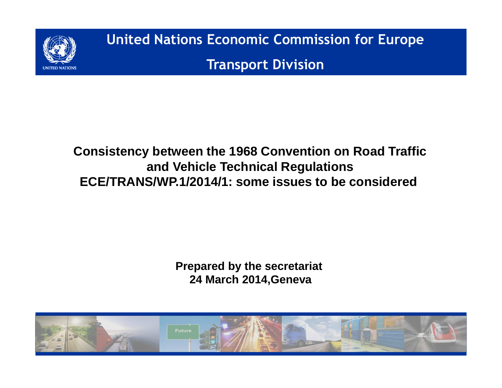

**United Nations Economic Commission for EuropeTransport Division**

## **Consistency between the 1968 Convention on Road Trafficand Vehicle Technical RegulationsECE/TRANS/WP.1/2014/1: some issues to be considered**

**Prepared by the secretariat 24 March 2014,Geneva**

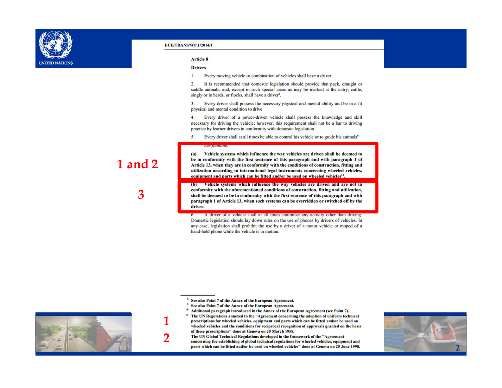

### **Article 8**

### **Drivers**

Every moving vehicle or combination of vehicles shall have a driver. 1.

 $\overline{2}$ . It is recommended that domestic legislation should provide that pack, draught or saddle animals, and, except in such special areas as may be marked at the entry, cattle, singly or in herds, or flocks, shall have a driver<sup>8</sup>.

Every driver shall possess the necessary physical and mental ability and be in a fit  $3.$ physical and mental condition to drive

4. Every driver of a power-driven vehicle shall possess the knowledge and skill necessary for driving the vehicle; however, this requirement shall not be a bar to driving practice by learner drivers in conformity with domestic legislation.

Every driver shall at all times be able to control his vehicle or to guide his animals<sup>9</sup> 5.

Vehicle systems which influence the way vehicles are driven shall be deemed to  $(a)$ be in conformity with the first sentence of this paragraph and with paragraph 1 of Article 13, when they are in conformity with the conditions of construction, fitting and utilization according to international legal instruments concerning wheeled vehicles, equipment and parts which can be fitted and/or be used on wheeled vehicles<sup>11</sup>.

(b) Vehicle systems which influence the way vehicles are driven and are not in conformity with the aforementioned conditions of construction, fitting and utilization, shall be deemed to be in conformity with the first sentence of this paragraph and with paragraph 1 of Article 13, when such systems can be overridden or switched off by the driver.

A driver of a vehicle shall at all times minimize any activity other than driving.  $6.$ Domestic legislation should lay down rules on the use of phones by drivers of vehicles. In any case, legislation shall prohibit the use by a driver of a motor vehicle or moped of a hand-held phone while the vehicle is in motion.

- <sup>8</sup> See also Point 7 of the Annex of the European Agreement.
- <sup>9</sup> See also Point 7 of the Annex of the European Agreement.
- <sup>10</sup> Additional paragraph introduced in the Annex of the European Agreement (see Point 7). <sup>11</sup> The UN Regulations annexed to the "Agreement concerning the adoption of uniform technical prescriptions for wheeled vehicles, equipment and parts which can be fitted and/or be used on

wheeled vehicles and the conditions for reciprocal recognition of approvals granted on the basis of these prescriptions" done at Geneva on 20 March 1958.

The UN Global Technical Regulations developed in the framework of the "Agreement concerning the establishing of global technical regulations for wheeled vehicles, equipment and parts which can be fitted and/or be used on wheeled vehicles" done at Geneva on 25 June 1998.



# 1 and 2

З

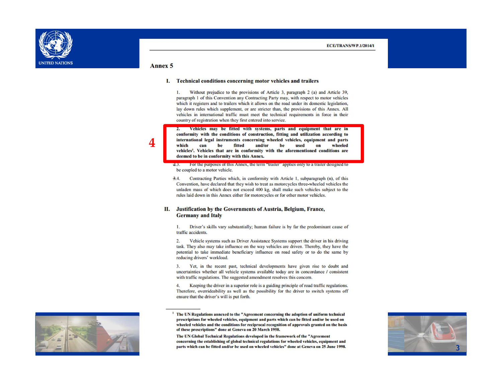

### Annex 5

### I. Technical conditions concerning motor vehicles and trailers

Without prejudice to the provisions of Article 3, paragraph 2 (a) and Article 39, 1. paragraph 1 of this Convention any Contracting Party may, with respect to motor vehicles which it registers and to trailers which it allows on the road under its domestic legislation, lay down rules which supplement, or are stricter than, the provisions of this Annex. All vehicles in international traffic must meet the technical requirements in force in their country of registration when they first entered into service.

2. Vehicles may be fitted with systems, parts and equipment that are in conformity with the conditions of construction, fitting and utilization according to international legal instruments concerning wheeled vehicles, equipment and parts which can be fitted and/or be used wheeled  $on$ vehicles<sup>1</sup>. Vehicles that are in conformity with the aforementioned conditions are deemed to be in conformity with this Annex.

- 2.3. For the purposes of this Annex, the term "trailer" applies only to a trailer designed to be coupled to a motor vehicle.
- $3.4.$ Contracting Parties which, in conformity with Article 1, subparagraph (n), of this Convention, have declared that they wish to treat as motorcycles three-wheeled vehicles the unladen mass of which does not exceed 400 kg, shall make such vehicles subject to the rules laid down in this Annex either for motorcycles or for other motor vehicles.

### II. Justification by the Governments of Austria, Belgium, France, **Germany and Italy**

Driver's skills vary substantially; human failure is by far the predominant cause of  $1.$ traffic accidents.

 $2.$ Vehicle systems such as Driver Assistance Systems support the driver in his driving task. They also may take influence on the way vehicles are driven. Thereby, they have the potential to take immediate beneficiary influence on road safety or to do the same by reducing drivers' workload.

3. Yet, in the recent past, technical developments have given rise to doubt and uncertainties whether all vehicle systems available today are in concordance / consistent with traffic regulations. The suggested amendment resolves this concern.

Keeping the driver in a superior role is a guiding principle of road traffic regulations.  $4.$ Therefore, overrideability as well as the possibility for the driver to switch systems off ensure that the driver's will is put forth.



The UN Global Technical Regulations developed in the framework of the "Agreement concerning the establishing of global technical regulations for wheeled vehicles, equipment and parts which can be fitted and/or be used on wheeled vehicles" done at Geneva on 25 June 1998.



The UN Regulations annexed to the "Agreement concerning the adoption of uniform technical prescriptions for wheeled vehicles, equipment and parts which can be fitted and/or be used on wheeled vehicles and the conditions for reciprocal recognition of approvals granted on the basis of these prescriptions" done at Geneva on 20 March 1958.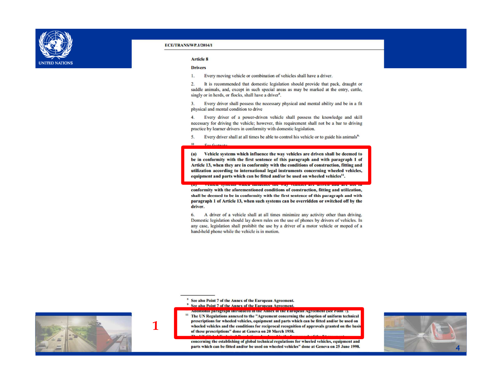

### **Article 8**

### **Drivers**

Every moving vehicle or combination of vehicles shall have a driver. 1.

 $\overline{2}$ . It is recommended that domestic legislation should provide that pack, draught or saddle animals, and, except in such special areas as may be marked at the entry, cattle, singly or in herds, or flocks, shall have a driver<sup>8</sup>.

Every driver shall possess the necessary physical and mental ability and be in a fit 3. physical and mental condition to drive

4. Every driver of a power-driven vehicle shall possess the knowledge and skill necessary for driving the vehicle; however, this requirement shall not be a bar to driving practice by learner drivers in conformity with domestic legislation.

5. Every driver shall at all times be able to control his vehicle or to guide his animals<sup>9,</sup>

10

Vehicle systems which influence the way vehicles are driven shall be deemed to  $(a)$ be in conformity with the first sentence of this paragraph and with paragraph 1 of Article 13, when they are in conformity with the conditions of construction, fitting and utilization according to international legal instruments concerning wheeled vehicles, equipment and parts which can be fitted and/or be used on wheeled vehicles<sup>11</sup>.

conformity with the aforementioned conditions of construction, fitting and utilization, shall be deemed to be in conformity with the first sentence of this paragraph and with paragraph 1 of Article 13, when such systems can be overridden or switched off by the driver.

6. A driver of a vehicle shall at all times minimize any activity other than driving. Domestic legislation should lay down rules on the use of phones by drivers of vehicles. In any case, legislation shall prohibit the use by a driver of a motor vehicle or moped of a hand-held phone while the vehicle is in motion.

<sup>8</sup> See also Point 7 of the Annex of the European Agreement.

- <sup>9</sup> See also Point 7 of the Annex of the European Agreement.
- <u>аменновитри визуритни гонесен в нев аввех от вет лигоревы аутсенент (see Foint 7).</u> <sup>11</sup> The UN Regulations annexed to the "Agreement concerning the adoption of uniform technical prescriptions for wheeled vehicles, equipment and parts which can be fitted and/or be used on wheeled vehicles and the conditions for reciprocal recognition of approvals granted on the basis of these prescriptions" done at Geneva on 20 March 1958.

concerning the establishing of global technical regulations for wheeled vehicles, equipment and parts which can be fitted and/or be used on wheeled vehicles" done at Geneva on 25 June 1998.



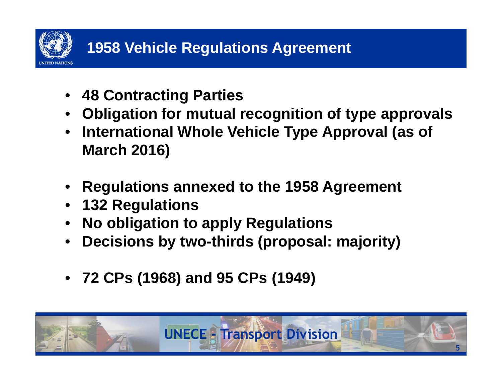

- **48 Contracting Parties**
- **Obligation for mutual recognition of type approvals**•
- • **International Whole Vehicle Type Approval (as of March 2016)**
- **Regulations annexed to the 1958 Agreement**
- **132 Regulations**
- **No obligation to apply Regulations**•
- **Decisions by two-thirds (proposal: majority)** •
- **72 CPs (1968) and 95 CPs (1949)**

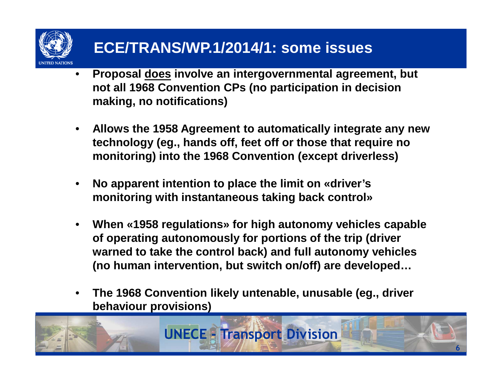# **ECE/TRANS/WP.1/2014/1: some issues**

- • **Proposal does involve an intergovernmental agreement, but not all 1968 Convention CPs (no participation in decision making, no notifications)**
- $\bullet$  **Allows the 1958 Agreement to automatically integrate any new technology (eg., hands off, feet off or those that require no monitoring) into the 1968 Convention (except driverless)**
- $\bullet$  **No apparent intention to place the limit on «driver's monitoring with instantaneous taking back control»**
- $\bullet$  **When «1958 regulations» for high autonomy vehicles capable of operating autonomously for portions of the trip (driver warned to take the control back) and full autonomy vehicles (no human intervention, but switch on/off) are developed…**
- $\bullet$  **The 1968 Convention likely untenable, unusable (eg., driver behaviour provisions)**

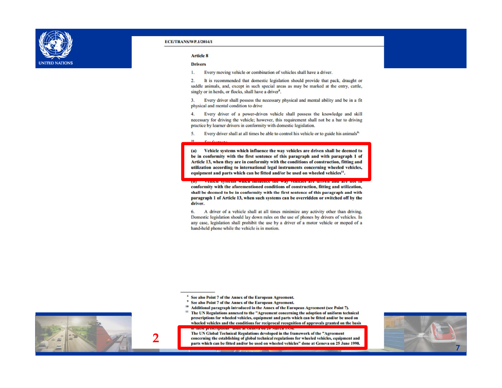

#### **Article 8**

### **Drivers**

 $10$ 

Every moving vehicle or combination of vehicles shall have a driver. 1.

 $\overline{2}$ . It is recommended that domestic legislation should provide that pack, draught or saddle animals, and, except in such special areas as may be marked at the entry, cattle, singly or in herds, or flocks, shall have a driver<sup>8</sup>.

Every driver shall possess the necessary physical and mental ability and be in a fit  $3.$ physical and mental condition to drive

 $\overline{4}$ . Every driver of a power-driven vehicle shall possess the knowledge and skill necessary for driving the vehicle; however, this requirement shall not be a bar to driving practice by learner drivers in conformity with domestic legislation.

Every driver shall at all times be able to control his vehicle or to guide his animals<sup>9</sup> 5.

Vehicle systems which influence the way vehicles are driven shall be deemed to  $(a)$ be in conformity with the first sentence of this paragraph and with paragraph 1 of Article 13, when they are in conformity with the conditions of construction, fitting and utilization according to international legal instruments concerning wheeled vehicles. equipment and parts which can be fitted and/or be used on wheeled vehicles<sup>11</sup>.

TERRIC SYSTEMS WHICH HINDERED THE WAY TERRICS ALC ULTER AND ALC conformity with the aforementioned conditions of construction, fitting and utilization, shall be deemed to be in conformity with the first sentence of this paragraph and with paragraph 1 of Article 13, when such systems can be overridden or switched off by the driver.

A driver of a vehicle shall at all times minimize any activity other than driving. 6. Domestic legislation should lay down rules on the use of phones by drivers of vehicles. In any case, legislation shall prohibit the use by a driver of a motor vehicle or moped of a hand-held phone while the vehicle is in motion.

<sup>8</sup> See also Point 7 of the Annex of the European Agreement.

- <sup>9</sup> See also Point 7 of the Annex of the European Agreement.
- <sup>10</sup> Additional paragraph introduced in the Annex of the European Agreement (see Point 7).
- <sup>11</sup> The UN Regulations annexed to the "Agreement concerning the adoption of uniform technical prescriptions for wheeled vehicles, equipment and parts which can be fitted and/or be used on wheeled vehicles and the conditions for reciprocal recognition of approvals granted on the basis

The UN Global Technical Regulations developed in the framework of the "Agreement concerning the establishing of global technical regulations for wheeled vehicles, equipment and parts which can be fitted and/or be used on wheeled vehicles" done at Geneva on 25 June 1998.



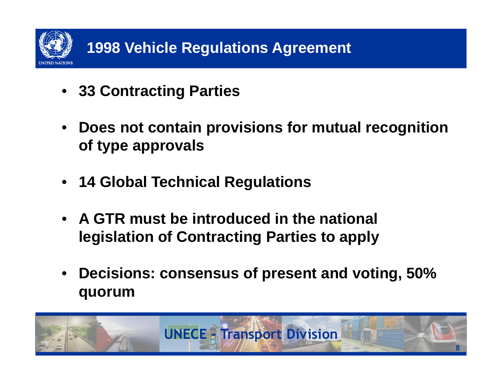

- **33 Contracting Parties**
- **Does not contain provisions for mutual recognition of type approvals**
- **14 Global Technical Regulations**
- **A GTR must be introduced in the national legislation of Contracting Parties to apply**
- $\bullet$  **Decisions: consensus of present and voting, 50% quorum**

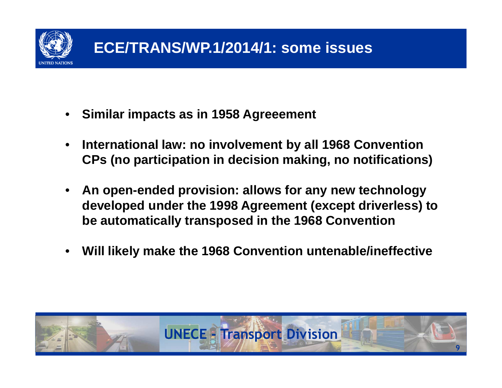

- •**Similar impacts as in 1958 Agreeement**
- • **International law: no involvement by all 1968 Convention CPs (no participation in decision making, no notifications)**
- • **An open-ended provision: allows for any new technology developed under the 1998 Agreement (except driverless) to be automatically transposed in the 1968 Convention**
- •**Will likely make the 1968 Convention untenable/ineffective**

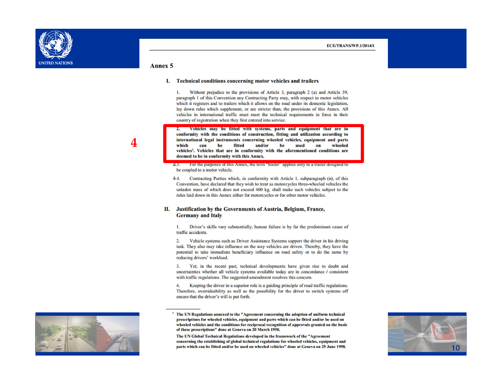

### Annex 5

### I. Technical conditions concerning motor vehicles and trailers

Without prejudice to the provisions of Article 3, paragraph 2 (a) and Article 39, 1. paragraph 1 of this Convention any Contracting Party may, with respect to motor vehicles which it registers and to trailers which it allows on the road under its domestic legislation, lay down rules which supplement, or are stricter than, the provisions of this Annex. All vehicles in international traffic must meet the technical requirements in force in their country of registration when they first entered into service.

2. Vehicles may be fitted with systems, parts and equipment that are in conformity with the conditions of construction, fitting and utilization according to international legal instruments concerning wheeled vehicles, equipment and parts which can be fitted and/or be used wheeled  $\alpha$ vehicles<sup>1</sup>. Vehicles that are in conformity with the aforementioned conditions are deemed to be in conformity with this Annex.

- 2.3. For the purposes of this Annex, the term "trailer" applies only to a trailer designed to be coupled to a motor vehicle.
- $3.4.$ Contracting Parties which, in conformity with Article 1, subparagraph (n), of this Convention, have declared that they wish to treat as motorcycles three-wheeled vehicles the unladen mass of which does not exceed 400 kg, shall make such vehicles subject to the rules laid down in this Annex either for motorcycles or for other motor vehicles.

### II. Justification by the Governments of Austria, Belgium, France, **Germany and Italy**

Driver's skills vary substantially; human failure is by far the predominant cause of  $1.$ traffic accidents.

 $2.$ Vehicle systems such as Driver Assistance Systems support the driver in his driving task. They also may take influence on the way vehicles are driven. Thereby, they have the potential to take immediate beneficiary influence on road safety or to do the same by reducing drivers' workload.

3. Yet, in the recent past, technical developments have given rise to doubt and uncertainties whether all vehicle systems available today are in concordance / consistent with traffic regulations. The suggested amendment resolves this concern.

Keeping the driver in a superior role is a guiding principle of road traffic regulations.  $4.$ Therefore, overrideability as well as the possibility for the driver to switch systems off ensure that the driver's will is put forth.



The UN Global Technical Regulations developed in the framework of the "Agreement concerning the establishing of global technical regulations for wheeled vehicles, equipment and parts which can be fitted and/or be used on wheeled vehicles" done at Geneva on 25 June 1998.



4

The UN Regulations annexed to the "Agreement concerning the adoption of uniform technical prescriptions for wheeled vehicles, equipment and parts which can be fitted and/or be used on wheeled vehicles and the conditions for reciprocal recognition of approvals granted on the basis of these prescriptions" done at Geneva on 20 March 1958.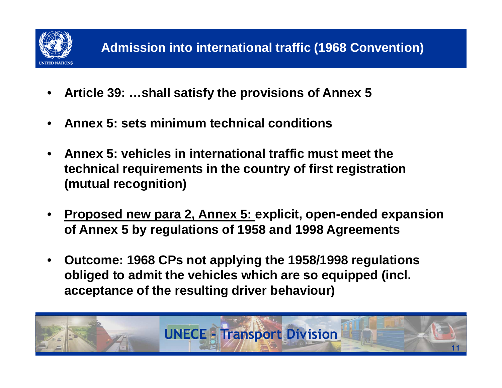

- •**Article 39: …shall satisfy the provisions of Annex 5**
- •**Annex 5: sets minimum technical conditions**
- **Annex 5: vehicles in international traffic must meet the technical requirements in the country of first registration (mutual recognition)**
- • **Proposed new para 2, Annex 5: explicit, open-ended expansion of Annex 5 by regulations of 1958 and 1998 Agreements**
- • **Outcome: 1968 CPs not applying the 1958/1998 regulations obliged to admit the vehicles which are so equipped (incl. acceptance of the resulting driver behaviour)**

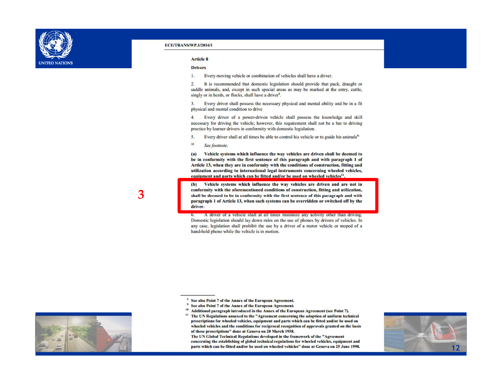

### **Article 8**

### **Drivers**

Every moving vehicle or combination of vehicles shall have a driver. 1.

 $\overline{2}$ . It is recommended that domestic legislation should provide that pack, draught or saddle animals, and, except in such special areas as may be marked at the entry, cattle, singly or in herds, or flocks, shall have a driver<sup>8</sup>.

Every driver shall possess the necessary physical and mental ability and be in a fit  $3.$ physical and mental condition to drive

4. Every driver of a power-driven vehicle shall possess the knowledge and skill necessary for driving the vehicle; however, this requirement shall not be a bar to driving practice by learner drivers in conformity with domestic legislation.

- 5. Every driver shall at all times be able to control his vehicle or to guide his animals<sup>9</sup>
- 10 See footnote.

Vehicle systems which influence the way vehicles are driven shall be deemed to  $(a)$ be in conformity with the first sentence of this paragraph and with paragraph 1 of Article 13, when they are in conformity with the conditions of construction, fitting and utilization according to international legal instruments concerning wheeled vehicles, equipment and parts which can be fitted and/or be used on wheeled vehicles<sup>11</sup>.

Vehicle systems which influence the way vehicles are driven and are not in (b) conformity with the aforementioned conditions of construction, fitting and utilization, shall be deemed to be in conformity with the first sentence of this paragraph and with paragraph 1 of Article 13, when such systems can be overridden or switched off by the driver.

A driver of a vehicle shall at all times minimize any activity other than driving.  $6.$ Domestic legislation should lay down rules on the use of phones by drivers of vehicles. In any case, legislation shall prohibit the use by a driver of a motor vehicle or moped of a hand-held phone while the vehicle is in motion.

<sup>8</sup> See also Point 7 of the Annex of the European Agreement.

- <sup>9</sup> See also Point 7 of the Annex of the European Agreement.
- <sup>10</sup> Additional paragraph introduced in the Annex of the European Agreement (see Point 7). <sup>11</sup> The UN Regulations annexed to the "Agreement concerning the adoption of uniform technical prescriptions for wheeled vehicles, equipment and parts which can be fitted and/or be used on wheeled vehicles and the conditions for reciprocal recognition of approvals granted on the basis

of these prescriptions" done at Geneva on 20 March 1958. The UN Global Technical Regulations developed in the framework of the "Agreement

concerning the establishing of global technical regulations for wheeled vehicles, equipment and parts which can be fitted and/or be used on wheeled vehicles" done at Geneva on 25 June 1998.





3